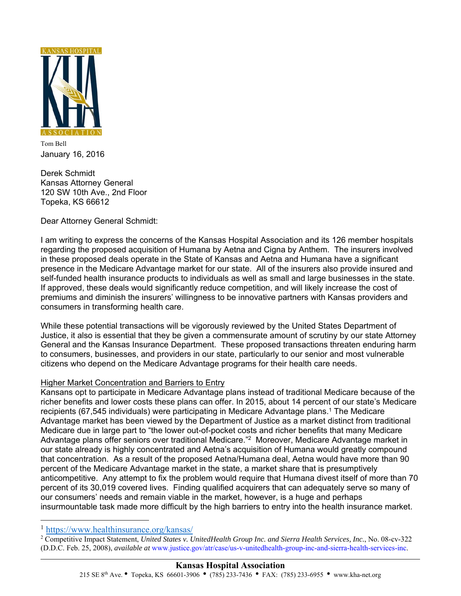

Tom Bell January 16, 2016

Derek Schmidt Kansas Attorney General 120 SW 10th Ave., 2nd Floor Topeka, KS 66612

Dear Attorney General Schmidt:

I am writing to express the concerns of the Kansas Hospital Association and its 126 member hospitals regarding the proposed acquisition of Humana by Aetna and Cigna by Anthem. The insurers involved in these proposed deals operate in the State of Kansas and Aetna and Humana have a significant presence in the Medicare Advantage market for our state. All of the insurers also provide insured and self-funded health insurance products to individuals as well as small and large businesses in the state. If approved, these deals would significantly reduce competition, and will likely increase the cost of premiums and diminish the insurers' willingness to be innovative partners with Kansas providers and consumers in transforming health care.

While these potential transactions will be vigorously reviewed by the United States Department of Justice, it also is essential that they be given a commensurate amount of scrutiny by our state Attorney General and the Kansas Insurance Department. These proposed transactions threaten enduring harm to consumers, businesses, and providers in our state, particularly to our senior and most vulnerable citizens who depend on the Medicare Advantage programs for their health care needs.

## Higher Market Concentration and Barriers to Entry

Kansans opt to participate in Medicare Advantage plans instead of traditional Medicare because of the richer benefits and lower costs these plans can offer. In 2015, about 14 percent of our state's Medicare recipients (67,545 individuals) were participating in Medicare Advantage plans.1 The Medicare Advantage market has been viewed by the Department of Justice as a market distinct from traditional Medicare due in large part to "the lower out-of-pocket costs and richer benefits that many Medicare Advantage plans offer seniors over traditional Medicare."2 Moreover, Medicare Advantage market in our state already is highly concentrated and Aetna's acquisition of Humana would greatly compound that concentration. As a result of the proposed Aetna/Humana deal, Aetna would have more than 90 percent of the Medicare Advantage market in the state, a market share that is presumptively anticompetitive. Any attempt to fix the problem would require that Humana divest itself of more than 70 percent of its 30,019 covered lives. Finding qualified acquirers that can adequately serve so many of our consumers' needs and remain viable in the market, however, is a huge and perhaps insurmountable task made more difficult by the high barriers to entry into the health insurance market.

֦

 $\overline{a}$ 

 Competitive Impact Statement, *United States v. UnitedHealth Group Inc. and Sierra Health Services, Inc.*, No. 08-cv-322 (D.D.C. Feb. 25, 2008), *available at* www.justice.gov/atr/case/us-v-unitedhealth-group-inc-and-sierra-health-services-inc.

<sup>1</sup> https://www.healthinsurance.org/kansas/ 2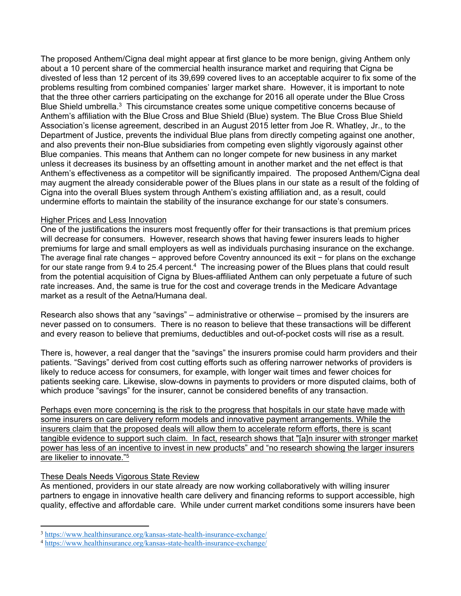The proposed Anthem/Cigna deal might appear at first glance to be more benign, giving Anthem only about a 10 percent share of the commercial health insurance market and requiring that Cigna be divested of less than 12 percent of its 39,699 covered lives to an acceptable acquirer to fix some of the problems resulting from combined companies' larger market share. However, it is important to note that the three other carriers participating on the exchange for 2016 all operate under the Blue Cross Blue Shield umbrella.<sup>3</sup> This circumstance creates some unique competitive concerns because of Anthem's affiliation with the Blue Cross and Blue Shield (Blue) system. The Blue Cross Blue Shield Association's license agreement, described in an August 2015 letter from Joe R. Whatley, Jr., to the Department of Justice, prevents the individual Blue plans from directly competing against one another, and also prevents their non-Blue subsidiaries from competing even slightly vigorously against other Blue companies. This means that Anthem can no longer compete for new business in any market unless it decreases its business by an offsetting amount in another market and the net effect is that Anthem's effectiveness as a competitor will be significantly impaired. The proposed Anthem/Cigna deal may augment the already considerable power of the Blues plans in our state as a result of the folding of Cigna into the overall Blues system through Anthem's existing affiliation and, as a result, could undermine efforts to maintain the stability of the insurance exchange for our state's consumers.

## Higher Prices and Less Innovation

One of the justifications the insurers most frequently offer for their transactions is that premium prices will decrease for consumers. However, research shows that having fewer insurers leads to higher premiums for large and small employers as well as individuals purchasing insurance on the exchange. The average final rate changes − approved before Coventry announced its exit − for plans on the exchange for our state range from 9.4 to 25.4 percent.<sup>4</sup> The increasing power of the Blues plans that could result from the potential acquisition of Cigna by Blues-affiliated Anthem can only perpetuate a future of such rate increases. And, the same is true for the cost and coverage trends in the Medicare Advantage market as a result of the Aetna/Humana deal.

Research also shows that any "savings" – administrative or otherwise – promised by the insurers are never passed on to consumers. There is no reason to believe that these transactions will be different and every reason to believe that premiums, deductibles and out-of-pocket costs will rise as a result.

There is, however, a real danger that the "savings" the insurers promise could harm providers and their patients. "Savings" derived from cost cutting efforts such as offering narrower networks of providers is likely to reduce access for consumers, for example, with longer wait times and fewer choices for patients seeking care. Likewise, slow-downs in payments to providers or more disputed claims, both of which produce "savings" for the insurer, cannot be considered benefits of any transaction.

Perhaps even more concerning is the risk to the progress that hospitals in our state have made with some insurers on care delivery reform models and innovative payment arrangements. While the insurers claim that the proposed deals will allow them to accelerate reform efforts, there is scant tangible evidence to support such claim. In fact, research shows that "[a]n insurer with stronger market power has less of an incentive to invest in new products" and "no research showing the larger insurers are likelier to innovate."5

## These Deals Needs Vigorous State Review

 $\overline{a}$ 

As mentioned, providers in our state already are now working collaboratively with willing insurer partners to engage in innovative health care delivery and financing reforms to support accessible, high quality, effective and affordable care. While under current market conditions some insurers have been

<sup>3</sup> https://www.healthinsurance.org/kansas-state-health-insurance-exchange/ 4 https://www.healthinsurance.org/kansas-state-health-insurance-exchange/